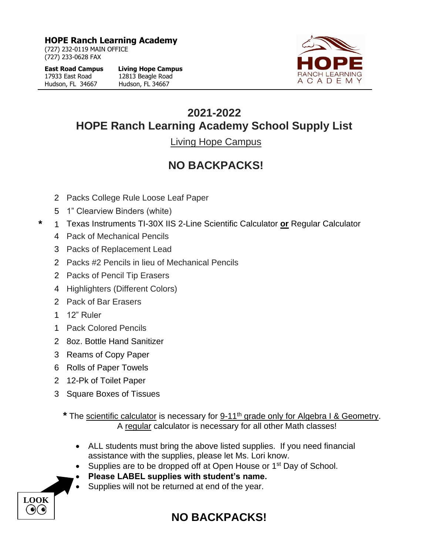**HOPE Ranch Learning Academy**

(727) 232-0119 MAIN OFFICE (727) 233-0628 FAX

**East Road Campus Living Hope Campus**  17933 East Road 12813 Beagle Road Hudson, FL 34667 Hudson, FL 34667



## **2021-2022 HOPE Ranch Learning Academy School Supply List**

Living Hope Campus

## **NO BACKPACKS!**

- 2 Packs College Rule Loose Leaf Paper
- 5 1" Clearview Binders (white)
- **\*** 1 Texas Instruments TI-30X IIS 2-Line Scientific Calculator **or** Regular Calculator
	- 4 Pack of Mechanical Pencils
	- 3 Packs of Replacement Lead
	- 2 Packs #2 Pencils in lieu of Mechanical Pencils
	- 2 Packs of Pencil Tip Erasers
	- 4 Highlighters (Different Colors)
	- 2 Pack of Bar Erasers
	- 1 12" Ruler

**LOOK**

 $(\bullet)(\bullet)$ 

- 1 Pack Colored Pencils
- 2 8oz. Bottle Hand Sanitizer
- 3 Reams of Copy Paper
- 6 Rolls of Paper Towels
- 2 12-Pk of Toilet Paper
- 3 Square Boxes of Tissues

**\*** The scientific calculator is necessary for 9-11th grade only for Algebra I & Geometry. A regular calculator is necessary for all other Math classes!

- ALL students must bring the above listed supplies. If you need financial assistance with the supplies, please let Ms. Lori know.
- Supplies are to be dropped off at Open House or 1<sup>st</sup> Day of School.
- **Please LABEL supplies with student's name.**
- Supplies will not be returned at end of the year.

## **NO BACKPACKS!**